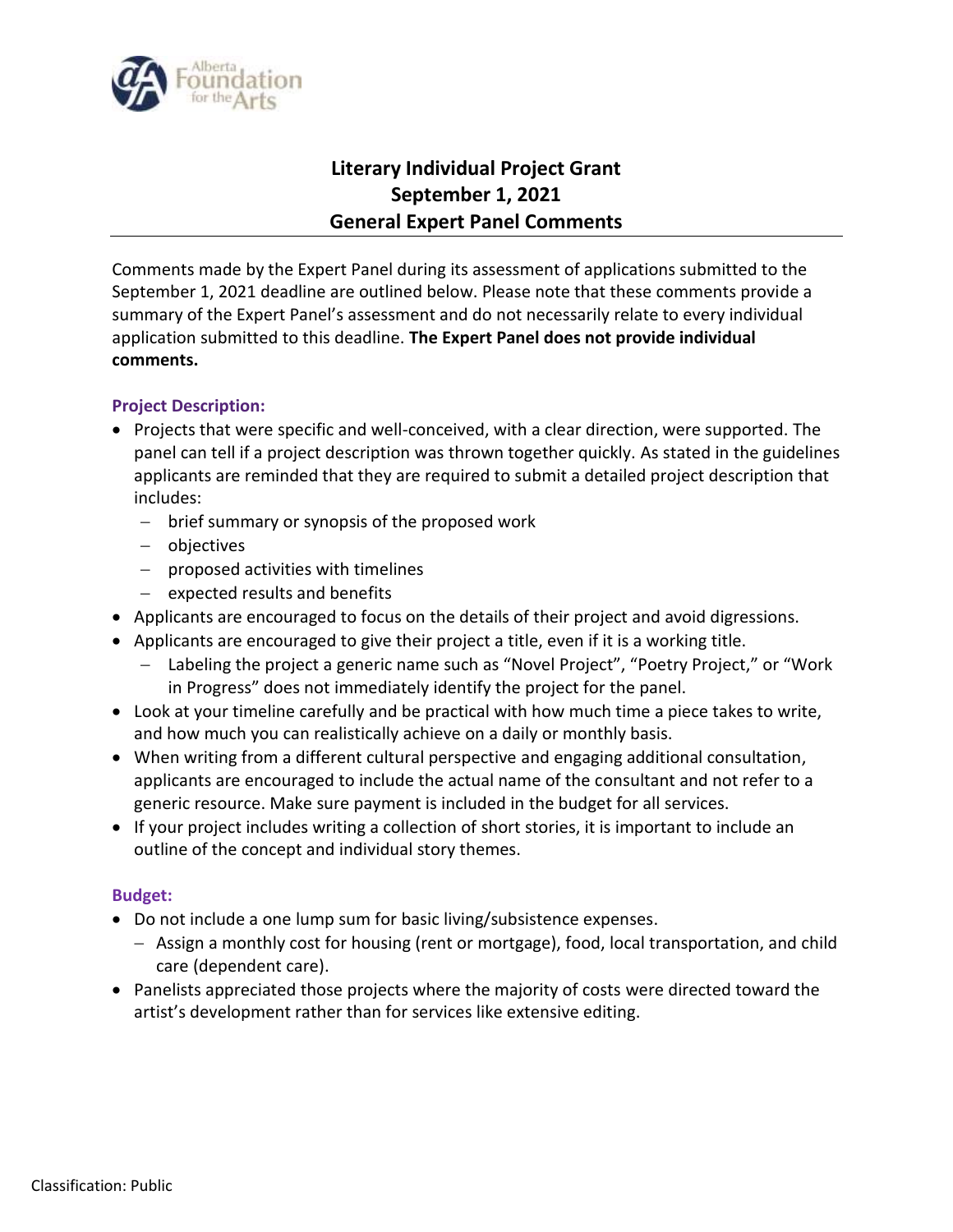

## **Literary Individual Project Grant September 1, 2021 General Expert Panel Comments**

Comments made by the Expert Panel during its assessment of applications submitted to the September 1, 2021 deadline are outlined below. Please note that these comments provide a summary of the Expert Panel's assessment and do not necessarily relate to every individual application submitted to this deadline. **The Expert Panel does not provide individual comments.**

## **Project Description:**

- Projects that were specific and well-conceived, with a clear direction, were supported. The panel can tell if a project description was thrown together quickly. As stated in the guidelines applicants are reminded that they are required to submit a detailed project description that includes:
	- brief summary or synopsis of the proposed work
	- objectives
	- $-$  proposed activities with timelines
	- $-$  expected results and benefits
- Applicants are encouraged to focus on the details of their project and avoid digressions.
- Applicants are encouraged to give their project a title, even if it is a working title.
	- Labeling the project a generic name such as "Novel Project", "Poetry Project," or "Work in Progress" does not immediately identify the project for the panel.
- Look at your timeline carefully and be practical with how much time a piece takes to write, and how much you can realistically achieve on a daily or monthly basis.
- When writing from a different cultural perspective and engaging additional consultation, applicants are encouraged to include the actual name of the consultant and not refer to a generic resource. Make sure payment is included in the budget for all services.
- If your project includes writing a collection of short stories, it is important to include an outline of the concept and individual story themes.

## **Budget:**

- Do not include a one lump sum for basic living/subsistence expenses.
	- $-$  Assign a monthly cost for housing (rent or mortgage), food, local transportation, and child care (dependent care).
- Panelists appreciated those projects where the majority of costs were directed toward the artist's development rather than for services like extensive editing.